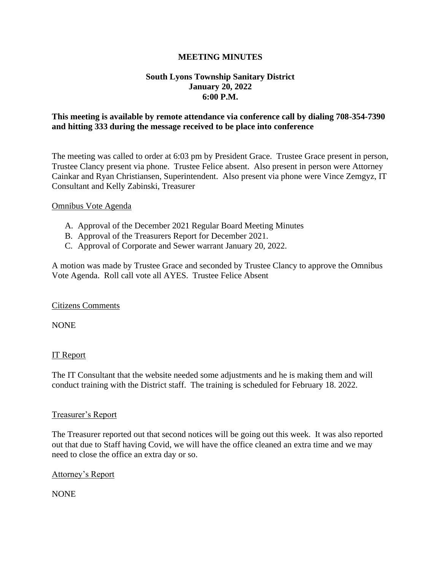### **MEETING MINUTES**

# **South Lyons Township Sanitary District January 20, 2022 6:00 P.M.**

## **This meeting is available by remote attendance via conference call by dialing 708-354-7390 and hitting 333 during the message received to be place into conference**

The meeting was called to order at 6:03 pm by President Grace. Trustee Grace present in person, Trustee Clancy present via phone. Trustee Felice absent. Also present in person were Attorney Cainkar and Ryan Christiansen, Superintendent. Also present via phone were Vince Zemgyz, IT Consultant and Kelly Zabinski, Treasurer

### Omnibus Vote Agenda

- A. Approval of the December 2021 Regular Board Meeting Minutes
- B. Approval of the Treasurers Report for December 2021.
- C. Approval of Corporate and Sewer warrant January 20, 2022.

A motion was made by Trustee Grace and seconded by Trustee Clancy to approve the Omnibus Vote Agenda. Roll call vote all AYES. Trustee Felice Absent

### Citizens Comments

NONE

### IT Report

The IT Consultant that the website needed some adjustments and he is making them and will conduct training with the District staff. The training is scheduled for February 18. 2022.

### Treasurer's Report

The Treasurer reported out that second notices will be going out this week. It was also reported out that due to Staff having Covid, we will have the office cleaned an extra time and we may need to close the office an extra day or so.

### Attorney's Report

NONE